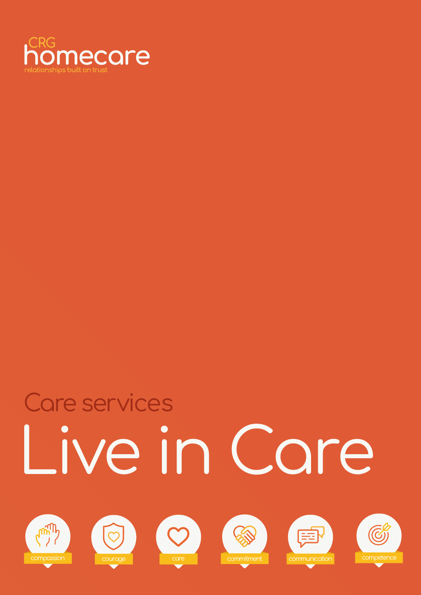

# Live in Care Care services











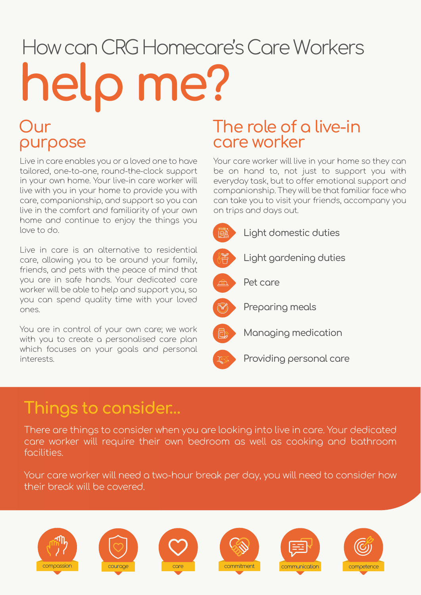# How can CRG Homecare's Care Workers help me?

### Our purpose

Live in care enables you or a loved one to have tailored, one-to-one, round-the-clock support in your own home. Your live-in care worker will live with you in your home to provide you with care, companionship, and support so you can live in the comfort and familiarity of your own home and continue to enjoy the things you love to do.

Live in care is an alternative to residential care, allowing you to be around your family, friends, and pets with the peace of mind that you are in safe hands. Your dedicated care worker will be able to help and support you, so you can spend quality time with your loved ones.

You are in control of your own care; we work with you to create a personalised care plan which focuses on your goals and personal interests.

#### The role of a live-in care worker

Your care worker will live in your home so they can be on hand to, not just to support you with everyday task, but to offer emotional support and companionship. They will be that familiar face who can take you to visit your friends, accompany you on trips and days out.



### Things to consider…

There are things to consider when you are looking into live in care. Your dedicated care worker will require their own bedroom as well as cooking and bathroom facilities.

Your care worker will need a two-hour break per day, you will need to consider how their break will be covered.











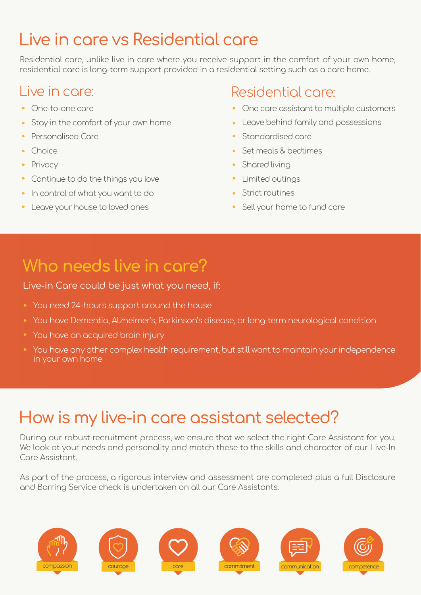# Live in care vs Residential care

Residential care, unlike live in care where you receive support in the comfort of your own home, residential care is long-term support provided in a residential setting such as a care home.

#### Live in care:

- One-to-one care
- Stay in the comfort of your own home
- Personalised Care
- Choice
- Privacy
- Continue to do the things you love
- In control of what you want to do
- Leave your house to loved ones

#### Residential care:

- One care assistant to multiple customers
- Leave behind family and possessions
- Standardised care
- Set meals & bedtimes
- Shared living
- Limited outings
- Strict routines
- Sell your home to fund care

# Who needs live in care?

#### Live-in Care could be just what you need, if:

- You need 24-hours support around the house
- You have Dementia, Alzheimer's, Parkinson's disease, or long-term neurological condition
- You have an acquired brain injury
- You have any other complex health requirement, but still want to maintain your independence in your own home

# How is my live-in care assistant selected?

During our robust recruitment process, we ensure that we select the right Care Assistant for you. We look at your needs and personality and match these to the skills and character of our Live-In Care Assistant.

As part of the process, a rigorous interview and assessment are completed plus a full Disclosure and Barring Service check is undertaken on all our Care Assistants.